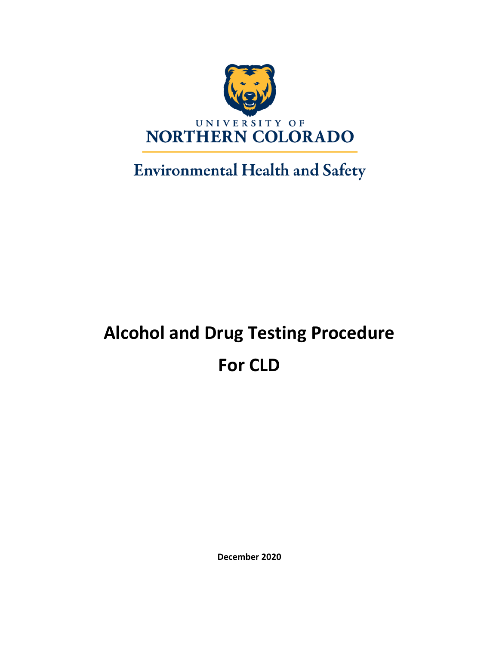

**Environmental Health and Safety** 

# **Alcohol and Drug Testing Procedure For CLD**

**December 2020**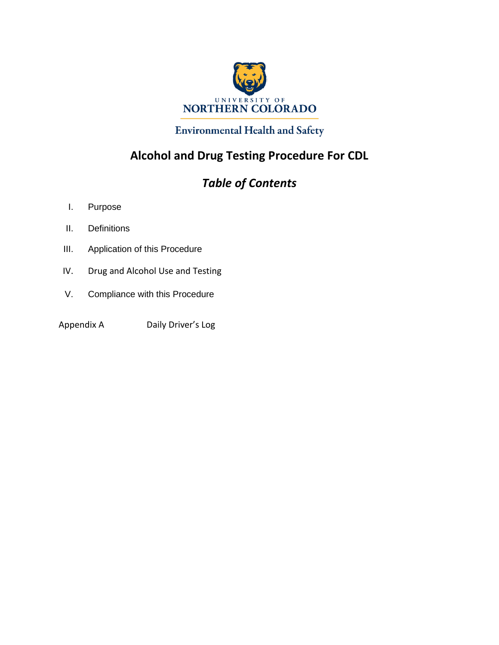

## **Environmental Health and Safety**

## **Alcohol and Drug Testing Procedure For CDL**

## *Table of Contents*

- I. Purpose
- II. Definitions
- III. Application of this Procedure
- IV. Drug and Alcohol Use and Testing
- V. Compliance with this Procedure
- Appendix A Daily Driver's Log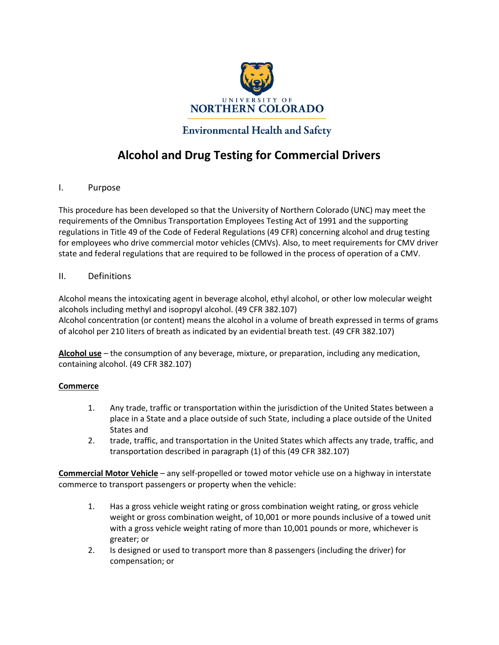

### **Environmental Health and Safety**

## **Alcohol and Drug Testing for Commercial Drivers**

I. Purpose

This procedure has been developed so that the University of Northern Colorado (UNC) may meet the requirements of the Omnibus Transportation Employees Testing Act of 1991 and the supporting regulations in Title 49 of the Code of Federal Regulations (49 CFR) concerning alcohol and drug testing for employees who drive commercial motor vehicles (CMVs). Also, to meet requirements for CMV driver state and federal regulations that are required to be followed in the process of operation of a CMV.

#### II. Definitions

Alcohol means the intoxicating agent in beverage alcohol, ethyl alcohol, or other low molecular weight alcohols including methyl and isopropyl alcohol. (49 CFR 382.107) Alcohol concentration (or content) means the alcohol in a volume of breath expressed in terms of grams of alcohol per 210 liters of breath as indicated by an evidential breath test. (49 CFR 382.107)

**Alcohol use** – the consumption of any beverage, mixture, or preparation, including any medication, containing alcohol. (49 CFR 382.107)

#### **Commerce**

- 1. Any trade, traffic or transportation within the jurisdiction of the United States between a place in a State and a place outside of such State, including a place outside of the United States and
- 2. trade, traffic, and transportation in the United States which affects any trade, traffic, and transportation described in paragraph (1) of this (49 CFR 382.107)

**Commercial Motor Vehicle** – any self-propelled or towed motor vehicle use on a highway in interstate commerce to transport passengers or property when the vehicle:

- 1. Has a gross vehicle weight rating or gross combination weight rating, or gross vehicle weight or gross combination weight, of 10,001 or more pounds inclusive of a towed unit with a gross vehicle weight rating of more than 10,001 pounds or more, whichever is greater; or
- 2. Is designed or used to transport more than 8 passengers (including the driver) for compensation; or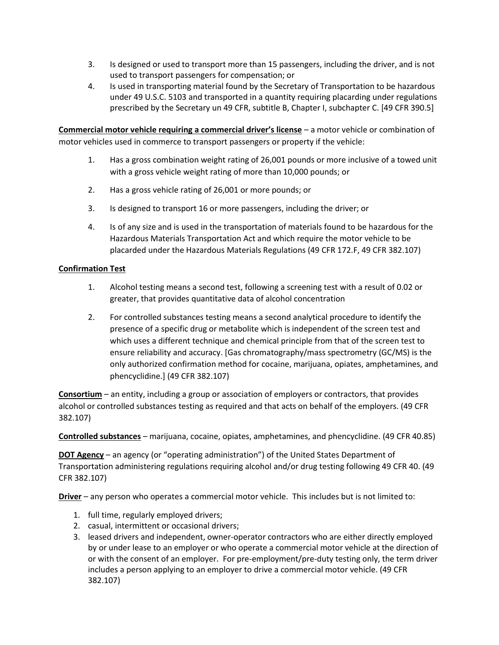- 3. Is designed or used to transport more than 15 passengers, including the driver, and is not used to transport passengers for compensation; or
- 4. Is used in transporting material found by the Secretary of Transportation to be hazardous under 49 U.S.C. 5103 and transported in a quantity requiring placarding under regulations prescribed by the Secretary un 49 CFR, subtitle B, Chapter I, subchapter C. [49 CFR 390.5]

**Commercial motor vehicle requiring a commercial driver's license** – a motor vehicle or combination of motor vehicles used in commerce to transport passengers or property if the vehicle:

- 1. Has a gross combination weight rating of 26,001 pounds or more inclusive of a towed unit with a gross vehicle weight rating of more than 10,000 pounds; or
- 2. Has a gross vehicle rating of 26,001 or more pounds; or
- 3. Is designed to transport 16 or more passengers, including the driver; or
- 4. Is of any size and is used in the transportation of materials found to be hazardous for the Hazardous Materials Transportation Act and which require the motor vehicle to be placarded under the Hazardous Materials Regulations (49 CFR 172.F, 49 CFR 382.107)

#### **Confirmation Test**

- 1. Alcohol testing means a second test, following a screening test with a result of 0.02 or greater, that provides quantitative data of alcohol concentration
- 2. For controlled substances testing means a second analytical procedure to identify the presence of a specific drug or metabolite which is independent of the screen test and which uses a different technique and chemical principle from that of the screen test to ensure reliability and accuracy. [Gas chromatography/mass spectrometry (GC/MS) is the only authorized confirmation method for cocaine, marijuana, opiates, amphetamines, and phencyclidine.] (49 CFR 382.107)

**Consortium** – an entity, including a group or association of employers or contractors, that provides alcohol or controlled substances testing as required and that acts on behalf of the employers. (49 CFR 382.107)

**Controlled substances** – marijuana, cocaine, opiates, amphetamines, and phencyclidine. (49 CFR 40.85)

**DOT Agency** – an agency (or "operating administration") of the United States Department of Transportation administering regulations requiring alcohol and/or drug testing following 49 CFR 40. (49 CFR 382.107)

**Driver** – any person who operates a commercial motor vehicle. This includes but is not limited to:

- 1. full time, regularly employed drivers;
- 2. casual, intermittent or occasional drivers;
- 3. leased drivers and independent, owner-operator contractors who are either directly employed by or under lease to an employer or who operate a commercial motor vehicle at the direction of or with the consent of an employer. For pre-employment/pre-duty testing only, the term driver includes a person applying to an employer to drive a commercial motor vehicle. (49 CFR 382.107)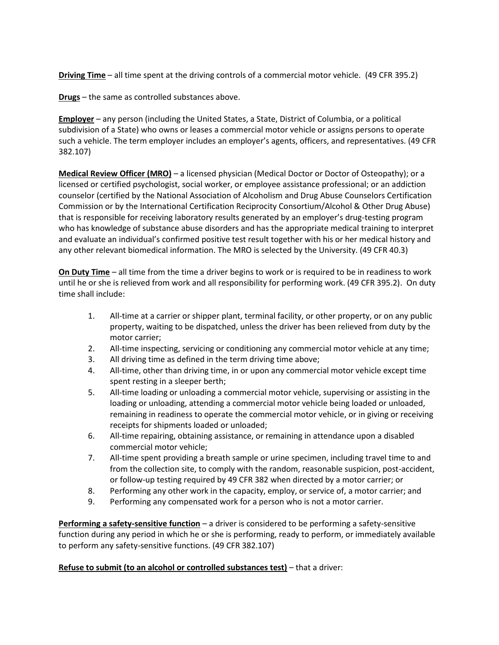**Driving Time** – all time spent at the driving controls of a commercial motor vehicle. (49 CFR 395.2)

**Drugs** – the same as controlled substances above.

**Employer** – any person (including the United States, a State, District of Columbia, or a political subdivision of a State) who owns or leases a commercial motor vehicle or assigns persons to operate such a vehicle. The term employer includes an employer's agents, officers, and representatives. (49 CFR 382.107)

**Medical Review Officer (MRO)** – a licensed physician (Medical Doctor or Doctor of Osteopathy); or a licensed or certified psychologist, social worker, or employee assistance professional; or an addiction counselor (certified by the National Association of Alcoholism and Drug Abuse Counselors Certification Commission or by the International Certification Reciprocity Consortium/Alcohol & Other Drug Abuse) that is responsible for receiving laboratory results generated by an employer's drug-testing program who has knowledge of substance abuse disorders and has the appropriate medical training to interpret and evaluate an individual's confirmed positive test result together with his or her medical history and any other relevant biomedical information. The MRO is selected by the University. (49 CFR 40.3)

**On Duty Time** – all time from the time a driver begins to work or is required to be in readiness to work until he or she is relieved from work and all responsibility for performing work. (49 CFR 395.2). On duty time shall include:

- 1. All-time at a carrier or shipper plant, terminal facility, or other property, or on any public property, waiting to be dispatched, unless the driver has been relieved from duty by the motor carrier;
- 2. All-time inspecting, servicing or conditioning any commercial motor vehicle at any time;
- 3. All driving time as defined in the term driving time above;
- 4. All-time, other than driving time, in or upon any commercial motor vehicle except time spent resting in a sleeper berth;
- 5. All-time loading or unloading a commercial motor vehicle, supervising or assisting in the loading or unloading, attending a commercial motor vehicle being loaded or unloaded, remaining in readiness to operate the commercial motor vehicle, or in giving or receiving receipts for shipments loaded or unloaded;
- 6. All-time repairing, obtaining assistance, or remaining in attendance upon a disabled commercial motor vehicle;
- 7. All-time spent providing a breath sample or urine specimen, including travel time to and from the collection site, to comply with the random, reasonable suspicion, post-accident, or follow-up testing required by 49 CFR 382 when directed by a motor carrier; or
- 8. Performing any other work in the capacity, employ, or service of, a motor carrier; and
- 9. Performing any compensated work for a person who is not a motor carrier.

**Performing a safety-sensitive function** – a driver is considered to be performing a safety-sensitive function during any period in which he or she is performing, ready to perform, or immediately available to perform any safety-sensitive functions. (49 CFR 382.107)

#### **Refuse to submit (to an alcohol or controlled substances test)** – that a driver: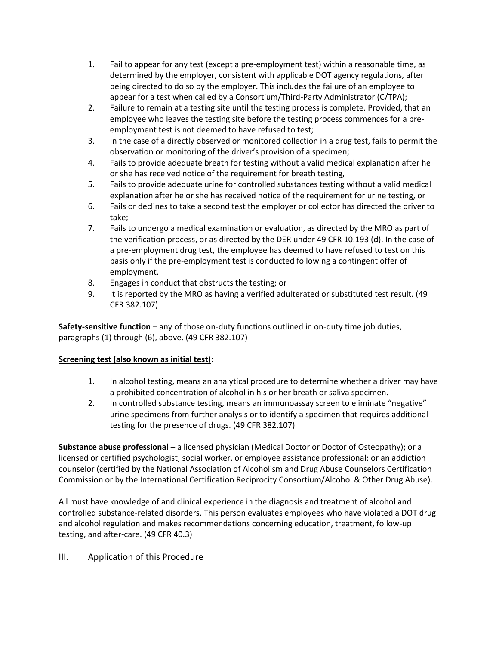- 1. Fail to appear for any test (except a pre-employment test) within a reasonable time, as determined by the employer, consistent with applicable DOT agency regulations, after being directed to do so by the employer. This includes the failure of an employee to appear for a test when called by a Consortium/Third-Party Administrator (C/TPA);
- 2. Failure to remain at a testing site until the testing process is complete. Provided, that an employee who leaves the testing site before the testing process commences for a preemployment test is not deemed to have refused to test;
- 3. In the case of a directly observed or monitored collection in a drug test, fails to permit the observation or monitoring of the driver's provision of a specimen;
- 4. Fails to provide adequate breath for testing without a valid medical explanation after he or she has received notice of the requirement for breath testing,
- 5. Fails to provide adequate urine for controlled substances testing without a valid medical explanation after he or she has received notice of the requirement for urine testing, or
- 6. Fails or declines to take a second test the employer or collector has directed the driver to take;
- 7. Fails to undergo a medical examination or evaluation, as directed by the MRO as part of the verification process, or as directed by the DER under 49 CFR 10.193 (d). In the case of a pre-employment drug test, the employee has deemed to have refused to test on this basis only if the pre-employment test is conducted following a contingent offer of employment.
- 8. Engages in conduct that obstructs the testing; or
- 9. It is reported by the MRO as having a verified adulterated or substituted test result. (49 CFR 382.107)

**Safety-sensitive function** – any of those on-duty functions outlined in on-duty time job duties, paragraphs (1) through (6), above. (49 CFR 382.107)

#### **Screening test (also known as initial test)**:

- 1. In alcohol testing, means an analytical procedure to determine whether a driver may have a prohibited concentration of alcohol in his or her breath or saliva specimen.
- 2. In controlled substance testing, means an immunoassay screen to eliminate "negative" urine specimens from further analysis or to identify a specimen that requires additional testing for the presence of drugs. (49 CFR 382.107)

**Substance abuse professional** – a licensed physician (Medical Doctor or Doctor of Osteopathy); or a licensed or certified psychologist, social worker, or employee assistance professional; or an addiction counselor (certified by the National Association of Alcoholism and Drug Abuse Counselors Certification Commission or by the International Certification Reciprocity Consortium/Alcohol & Other Drug Abuse).

All must have knowledge of and clinical experience in the diagnosis and treatment of alcohol and controlled substance-related disorders. This person evaluates employees who have violated a DOT drug and alcohol regulation and makes recommendations concerning education, treatment, follow-up testing, and after-care. (49 CFR 40.3)

#### III. Application of this Procedure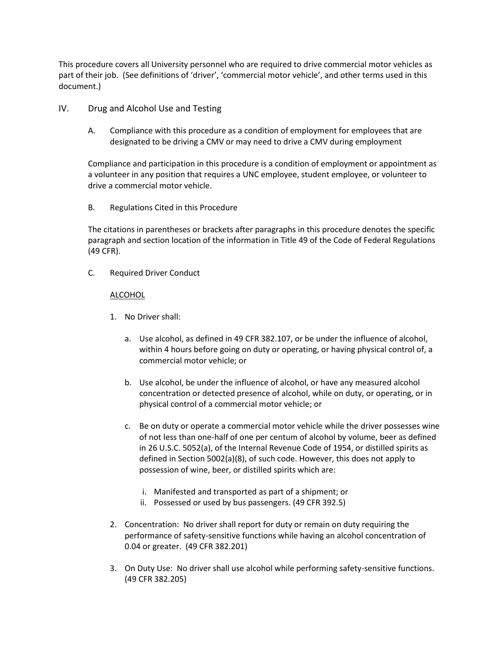This procedure covers all University personnel who are required to drive commercial motor vehicles as part of their job. (See definitions of 'driver', 'commercial motor vehicle', and other terms used in this document.)

- IV. Drug and Alcohol Use and Testing
	- A. Compliance with this procedure as a condition of employment for employees that are designated to be driving a CMV or may need to drive a CMV during employment

Compliance and participation in this procedure is a condition of employment or appointment as a volunteer in any position that requires a UNC employee, student employee, or volunteer to drive a commercial motor vehicle.

B. Regulations Cited in this Procedure

The citations in parentheses or brackets after paragraphs in this procedure denotes the specific paragraph and section location of the information in Title 49 of the Code of Federal Regulations (49 CFR).

C. Required Driver Conduct

#### **ALCOHOL**

- 1. No Driver shall:
	- a. Use alcohol, as defined in 49 CFR 382.107, or be under the influence of alcohol, within 4 hours before going on duty or operating, or having physical control of, a commercial motor vehicle; or
	- b. Use alcohol, be under the influence of alcohol, or have any measured alcohol concentration or detected presence of alcohol, while on duty, or operating, or in physical control of a commercial motor vehicle; or
	- c. Be on duty or operate a commercial motor vehicle while the driver possesses wine of not less than one-half of one per centum of alcohol by volume, beer as defined in 26 U.S.C. 5052(a), of the Internal Revenue Code of 1954, or distilled spirits as defined in Section 5002(a)(8), of such code. However, this does not apply to possession of wine, beer, or distilled spirits which are:
		- i. Manifested and transported as part of a shipment; or
		- ii. Possessed or used by bus passengers. (49 CFR 392.5)
- 2. Concentration: No driver shall report for duty or remain on duty requiring the performance of safety-sensitive functions while having an alcohol concentration of 0.04 or greater. (49 CFR 382.201)
- 3. On Duty Use: No driver shall use alcohol while performing safety-sensitive functions. (49 CFR 382.205)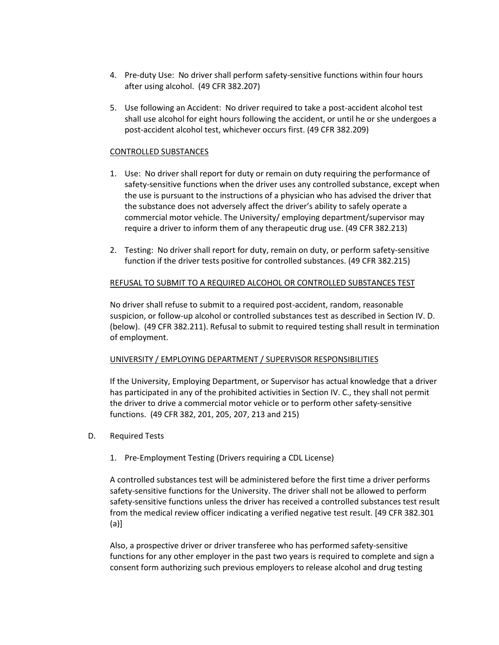- 4. Pre-duty Use: No driver shall perform safety-sensitive functions within four hours after using alcohol. (49 CFR 382.207)
- 5. Use following an Accident: No driver required to take a post-accident alcohol test shall use alcohol for eight hours following the accident, or until he or she undergoes a post-accident alcohol test, whichever occurs first. (49 CFR 382.209)

#### CONTROLLED SUBSTANCES

- 1. Use: No driver shall report for duty or remain on duty requiring the performance of safety-sensitive functions when the driver uses any controlled substance, except when the use is pursuant to the instructions of a physician who has advised the driver that the substance does not adversely affect the driver's ability to safely operate a commercial motor vehicle. The University/ employing department/supervisor may require a driver to inform them of any therapeutic drug use. (49 CFR 382.213)
- 2. Testing: No driver shall report for duty, remain on duty, or perform safety-sensitive function if the driver tests positive for controlled substances. (49 CFR 382.215)

#### REFUSAL TO SUBMIT TO A REQUIRED ALCOHOL OR CONTROLLED SUBSTANCES TEST

No driver shall refuse to submit to a required post-accident, random, reasonable suspicion, or follow-up alcohol or controlled substances test as described in Section IV. D. (below). (49 CFR 382.211). Refusal to submit to required testing shall result in termination of employment.

#### UNIVERSITY / EMPLOYING DEPARTMENT / SUPERVISOR RESPONSIBILITIES

If the University, Employing Department, or Supervisor has actual knowledge that a driver has participated in any of the prohibited activities in Section IV. C., they shall not permit the driver to drive a commercial motor vehicle or to perform other safety-sensitive functions. (49 CFR 382, 201, 205, 207, 213 and 215)

- D. Required Tests
	- 1. Pre-Employment Testing (Drivers requiring a CDL License)

A controlled substances test will be administered before the first time a driver performs safety-sensitive functions for the University. The driver shall not be allowed to perform safety-sensitive functions unless the driver has received a controlled substances test result from the medical review officer indicating a verified negative test result. [49 CFR 382.301 (a)]

Also, a prospective driver or driver transferee who has performed safety-sensitive functions for any other employer in the past two years is required to complete and sign a consent form authorizing such previous employers to release alcohol and drug testing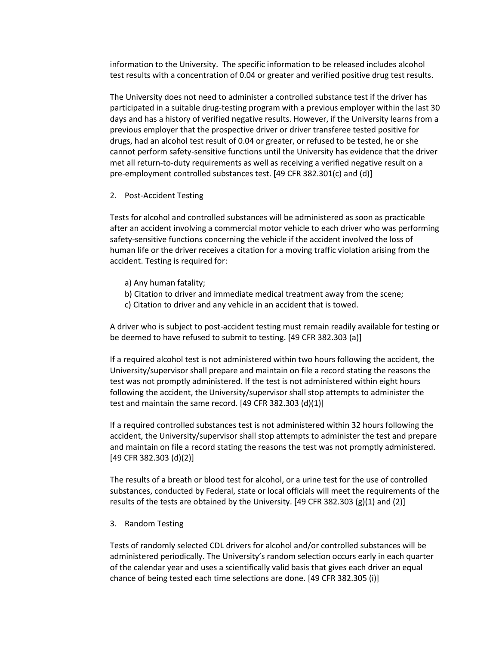information to the University. The specific information to be released includes alcohol test results with a concentration of 0.04 or greater and verified positive drug test results.

The University does not need to administer a controlled substance test if the driver has participated in a suitable drug-testing program with a previous employer within the last 30 days and has a history of verified negative results. However, if the University learns from a previous employer that the prospective driver or driver transferee tested positive for drugs, had an alcohol test result of 0.04 or greater, or refused to be tested, he or she cannot perform safety-sensitive functions until the University has evidence that the driver met all return-to-duty requirements as well as receiving a verified negative result on a pre-employment controlled substances test. [49 CFR 382.301(c) and (d)]

2. Post-Accident Testing

Tests for alcohol and controlled substances will be administered as soon as practicable after an accident involving a commercial motor vehicle to each driver who was performing safety-sensitive functions concerning the vehicle if the accident involved the loss of human life or the driver receives a citation for a moving traffic violation arising from the accident. Testing is required for:

- a) Any human fatality;
- b) Citation to driver and immediate medical treatment away from the scene;
- c) Citation to driver and any vehicle in an accident that is towed.

A driver who is subject to post-accident testing must remain readily available for testing or be deemed to have refused to submit to testing. [49 CFR 382.303 (a)]

If a required alcohol test is not administered within two hours following the accident, the University/supervisor shall prepare and maintain on file a record stating the reasons the test was not promptly administered. If the test is not administered within eight hours following the accident, the University/supervisor shall stop attempts to administer the test and maintain the same record. [49 CFR 382.303 (d)(1)]

If a required controlled substances test is not administered within 32 hours following the accident, the University/supervisor shall stop attempts to administer the test and prepare and maintain on file a record stating the reasons the test was not promptly administered. [49 CFR 382.303 (d)(2)]

The results of a breath or blood test for alcohol, or a urine test for the use of controlled substances, conducted by Federal, state or local officials will meet the requirements of the results of the tests are obtained by the University. [49 CFR 382.303 (g)(1) and (2)]

3. Random Testing

Tests of randomly selected CDL drivers for alcohol and/or controlled substances will be administered periodically. The University's random selection occurs early in each quarter of the calendar year and uses a scientifically valid basis that gives each driver an equal chance of being tested each time selections are done. [49 CFR 382.305 (i)]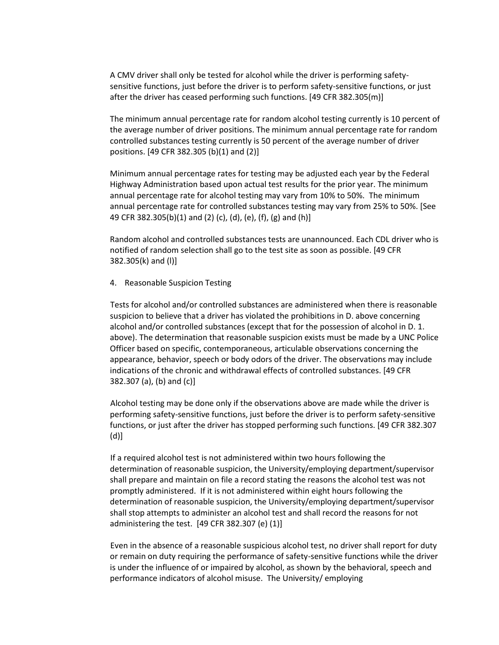A CMV driver shall only be tested for alcohol while the driver is performing safetysensitive functions, just before the driver is to perform safety-sensitive functions, or just after the driver has ceased performing such functions. [49 CFR 382.305(m)]

The minimum annual percentage rate for random alcohol testing currently is 10 percent of the average number of driver positions. The minimum annual percentage rate for random controlled substances testing currently is 50 percent of the average number of driver positions. [49 CFR 382.305 (b)(1) and (2)]

Minimum annual percentage rates for testing may be adjusted each year by the Federal Highway Administration based upon actual test results for the prior year. The minimum annual percentage rate for alcohol testing may vary from 10% to 50%. The minimum annual percentage rate for controlled substances testing may vary from 25% to 50%. [See 49 CFR 382.305(b)(1) and (2) (c), (d), (e), (f), (g) and (h)]

Random alcohol and controlled substances tests are unannounced. Each CDL driver who is notified of random selection shall go to the test site as soon as possible. [49 CFR 382.305(k) and (l)]

4. Reasonable Suspicion Testing

Tests for alcohol and/or controlled substances are administered when there is reasonable suspicion to believe that a driver has violated the prohibitions in D. above concerning alcohol and/or controlled substances (except that for the possession of alcohol in D. 1. above). The determination that reasonable suspicion exists must be made by a UNC Police Officer based on specific, contemporaneous, articulable observations concerning the appearance, behavior, speech or body odors of the driver. The observations may include indications of the chronic and withdrawal effects of controlled substances. [49 CFR 382.307 (a), (b) and (c)]

Alcohol testing may be done only if the observations above are made while the driver is performing safety-sensitive functions, just before the driver is to perform safety-sensitive functions, or just after the driver has stopped performing such functions. [49 CFR 382.307 (d)]

If a required alcohol test is not administered within two hours following the determination of reasonable suspicion, the University/employing department/supervisor shall prepare and maintain on file a record stating the reasons the alcohol test was not promptly administered. If it is not administered within eight hours following the determination of reasonable suspicion, the University/employing department/supervisor shall stop attempts to administer an alcohol test and shall record the reasons for not administering the test. [49 CFR 382.307 (e) (1)]

Even in the absence of a reasonable suspicious alcohol test, no driver shall report for duty or remain on duty requiring the performance of safety-sensitive functions while the driver is under the influence of or impaired by alcohol, as shown by the behavioral, speech and performance indicators of alcohol misuse. The University/ employing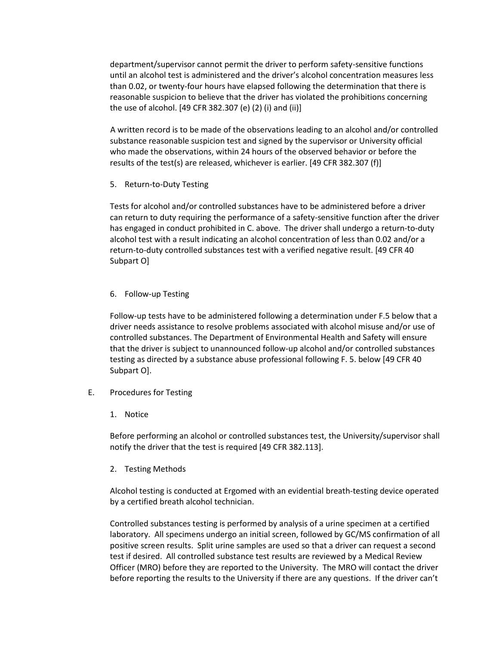department/supervisor cannot permit the driver to perform safety-sensitive functions until an alcohol test is administered and the driver's alcohol concentration measures less than 0.02, or twenty-four hours have elapsed following the determination that there is reasonable suspicion to believe that the driver has violated the prohibitions concerning the use of alcohol. [49 CFR 382.307 (e) (2) (i) and (ii)]

A written record is to be made of the observations leading to an alcohol and/or controlled substance reasonable suspicion test and signed by the supervisor or University official who made the observations, within 24 hours of the observed behavior or before the results of the test(s) are released, whichever is earlier. [49 CFR 382.307 (f)]

5. Return-to-Duty Testing

Tests for alcohol and/or controlled substances have to be administered before a driver can return to duty requiring the performance of a safety-sensitive function after the driver has engaged in conduct prohibited in C. above. The driver shall undergo a return-to-duty alcohol test with a result indicating an alcohol concentration of less than 0.02 and/or a return-to-duty controlled substances test with a verified negative result. [49 CFR 40 Subpart O]

6. Follow-up Testing

Follow-up tests have to be administered following a determination under F.5 below that a driver needs assistance to resolve problems associated with alcohol misuse and/or use of controlled substances. The Department of Environmental Health and Safety will ensure that the driver is subject to unannounced follow-up alcohol and/or controlled substances testing as directed by a substance abuse professional following F. 5. below [49 CFR 40 Subpart O].

- E. Procedures for Testing
	- 1. Notice

Before performing an alcohol or controlled substances test, the University/supervisor shall notify the driver that the test is required [49 CFR 382.113].

2. Testing Methods

Alcohol testing is conducted at Ergomed with an evidential breath-testing device operated by a certified breath alcohol technician.

Controlled substances testing is performed by analysis of a urine specimen at a certified laboratory. All specimens undergo an initial screen, followed by GC/MS confirmation of all positive screen results. Split urine samples are used so that a driver can request a second test if desired. All controlled substance test results are reviewed by a Medical Review Officer (MRO) before they are reported to the University. The MRO will contact the driver before reporting the results to the University if there are any questions. If the driver can't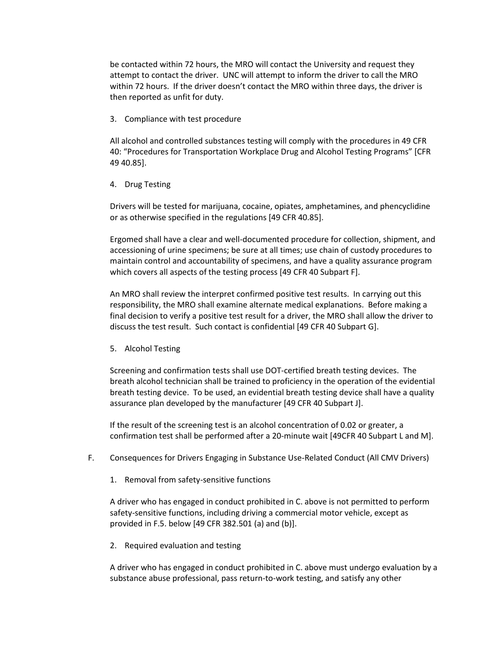be contacted within 72 hours, the MRO will contact the University and request they attempt to contact the driver. UNC will attempt to inform the driver to call the MRO within 72 hours. If the driver doesn't contact the MRO within three days, the driver is then reported as unfit for duty.

3. Compliance with test procedure

All alcohol and controlled substances testing will comply with the procedures in 49 CFR 40: "Procedures for Transportation Workplace Drug and Alcohol Testing Programs" [CFR 49 40.85].

4. Drug Testing

Drivers will be tested for marijuana, cocaine, opiates, amphetamines, and phencyclidine or as otherwise specified in the regulations [49 CFR 40.85].

Ergomed shall have a clear and well-documented procedure for collection, shipment, and accessioning of urine specimens; be sure at all times; use chain of custody procedures to maintain control and accountability of specimens, and have a quality assurance program which covers all aspects of the testing process [49 CFR 40 Subpart F].

An MRO shall review the interpret confirmed positive test results. In carrying out this responsibility, the MRO shall examine alternate medical explanations. Before making a final decision to verify a positive test result for a driver, the MRO shall allow the driver to discuss the test result. Such contact is confidential [49 CFR 40 Subpart G].

5. Alcohol Testing

Screening and confirmation tests shall use DOT-certified breath testing devices. The breath alcohol technician shall be trained to proficiency in the operation of the evidential breath testing device. To be used, an evidential breath testing device shall have a quality assurance plan developed by the manufacturer [49 CFR 40 Subpart J].

If the result of the screening test is an alcohol concentration of 0.02 or greater, a confirmation test shall be performed after a 20-minute wait [49CFR 40 Subpart L and M].

- F. Consequences for Drivers Engaging in Substance Use-Related Conduct (All CMV Drivers)
	- 1. Removal from safety-sensitive functions

A driver who has engaged in conduct prohibited in C. above is not permitted to perform safety-sensitive functions, including driving a commercial motor vehicle, except as provided in F.5. below [49 CFR 382.501 (a) and (b)].

2. Required evaluation and testing

A driver who has engaged in conduct prohibited in C. above must undergo evaluation by a substance abuse professional, pass return-to-work testing, and satisfy any other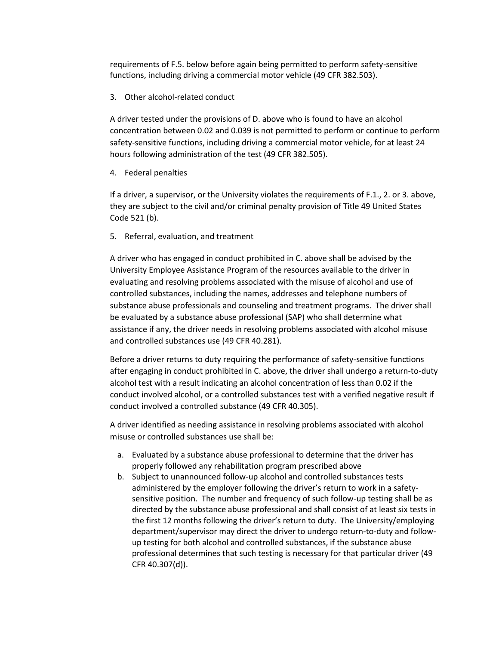requirements of F.5. below before again being permitted to perform safety-sensitive functions, including driving a commercial motor vehicle (49 CFR 382.503).

#### 3. Other alcohol-related conduct

A driver tested under the provisions of D. above who is found to have an alcohol concentration between 0.02 and 0.039 is not permitted to perform or continue to perform safety-sensitive functions, including driving a commercial motor vehicle, for at least 24 hours following administration of the test (49 CFR 382.505).

4. Federal penalties

If a driver, a supervisor, or the University violates the requirements of F.1., 2. or 3. above, they are subject to the civil and/or criminal penalty provision of Title 49 United States Code 521 (b).

5. Referral, evaluation, and treatment

A driver who has engaged in conduct prohibited in C. above shall be advised by the University Employee Assistance Program of the resources available to the driver in evaluating and resolving problems associated with the misuse of alcohol and use of controlled substances, including the names, addresses and telephone numbers of substance abuse professionals and counseling and treatment programs. The driver shall be evaluated by a substance abuse professional (SAP) who shall determine what assistance if any, the driver needs in resolving problems associated with alcohol misuse and controlled substances use (49 CFR 40.281).

Before a driver returns to duty requiring the performance of safety-sensitive functions after engaging in conduct prohibited in C. above, the driver shall undergo a return-to-duty alcohol test with a result indicating an alcohol concentration of less than 0.02 if the conduct involved alcohol, or a controlled substances test with a verified negative result if conduct involved a controlled substance (49 CFR 40.305).

A driver identified as needing assistance in resolving problems associated with alcohol misuse or controlled substances use shall be:

- a. Evaluated by a substance abuse professional to determine that the driver has properly followed any rehabilitation program prescribed above
- b. Subject to unannounced follow-up alcohol and controlled substances tests administered by the employer following the driver's return to work in a safetysensitive position. The number and frequency of such follow-up testing shall be as directed by the substance abuse professional and shall consist of at least six tests in the first 12 months following the driver's return to duty. The University/employing department/supervisor may direct the driver to undergo return-to-duty and followup testing for both alcohol and controlled substances, if the substance abuse professional determines that such testing is necessary for that particular driver (49 CFR 40.307(d)).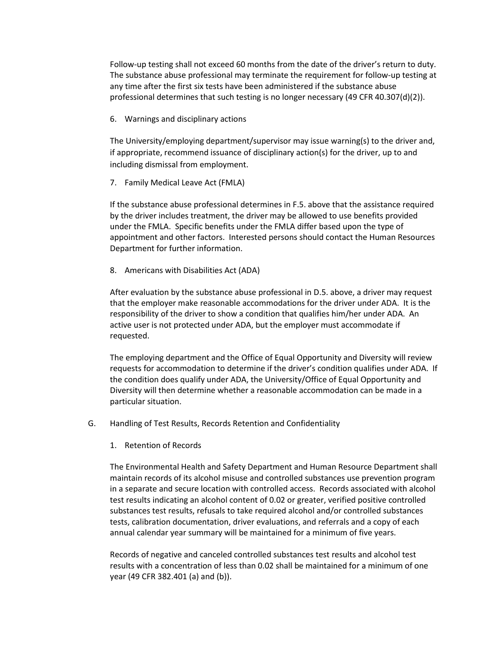Follow-up testing shall not exceed 60 months from the date of the driver's return to duty. The substance abuse professional may terminate the requirement for follow-up testing at any time after the first six tests have been administered if the substance abuse professional determines that such testing is no longer necessary (49 CFR 40.307(d)(2)).

6. Warnings and disciplinary actions

The University/employing department/supervisor may issue warning(s) to the driver and, if appropriate, recommend issuance of disciplinary action(s) for the driver, up to and including dismissal from employment.

7. Family Medical Leave Act (FMLA)

If the substance abuse professional determines in F.5. above that the assistance required by the driver includes treatment, the driver may be allowed to use benefits provided under the FMLA. Specific benefits under the FMLA differ based upon the type of appointment and other factors. Interested persons should contact the Human Resources Department for further information.

8. Americans with Disabilities Act (ADA)

After evaluation by the substance abuse professional in D.5. above, a driver may request that the employer make reasonable accommodations for the driver under ADA. It is the responsibility of the driver to show a condition that qualifies him/her under ADA. An active user is not protected under ADA, but the employer must accommodate if requested.

The employing department and the Office of Equal Opportunity and Diversity will review requests for accommodation to determine if the driver's condition qualifies under ADA. If the condition does qualify under ADA, the University/Office of Equal Opportunity and Diversity will then determine whether a reasonable accommodation can be made in a particular situation.

- G. Handling of Test Results, Records Retention and Confidentiality
	- 1. Retention of Records

The Environmental Health and Safety Department and Human Resource Department shall maintain records of its alcohol misuse and controlled substances use prevention program in a separate and secure location with controlled access. Records associated with alcohol test results indicating an alcohol content of 0.02 or greater, verified positive controlled substances test results, refusals to take required alcohol and/or controlled substances tests, calibration documentation, driver evaluations, and referrals and a copy of each annual calendar year summary will be maintained for a minimum of five years.

Records of negative and canceled controlled substances test results and alcohol test results with a concentration of less than 0.02 shall be maintained for a minimum of one year (49 CFR 382.401 (a) and (b)).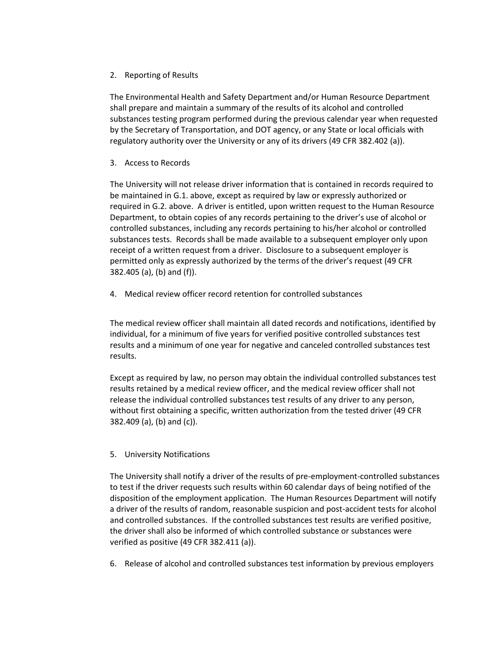2. Reporting of Results

The Environmental Health and Safety Department and/or Human Resource Department shall prepare and maintain a summary of the results of its alcohol and controlled substances testing program performed during the previous calendar year when requested by the Secretary of Transportation, and DOT agency, or any State or local officials with regulatory authority over the University or any of its drivers (49 CFR 382.402 (a)).

3. Access to Records

The University will not release driver information that is contained in records required to be maintained in G.1. above, except as required by law or expressly authorized or required in G.2. above. A driver is entitled, upon written request to the Human Resource Department, to obtain copies of any records pertaining to the driver's use of alcohol or controlled substances, including any records pertaining to his/her alcohol or controlled substances tests. Records shall be made available to a subsequent employer only upon receipt of a written request from a driver. Disclosure to a subsequent employer is permitted only as expressly authorized by the terms of the driver's request (49 CFR 382.405 (a), (b) and (f)).

4. Medical review officer record retention for controlled substances

The medical review officer shall maintain all dated records and notifications, identified by individual, for a minimum of five years for verified positive controlled substances test results and a minimum of one year for negative and canceled controlled substances test results.

Except as required by law, no person may obtain the individual controlled substances test results retained by a medical review officer, and the medical review officer shall not release the individual controlled substances test results of any driver to any person, without first obtaining a specific, written authorization from the tested driver (49 CFR 382.409 (a), (b) and (c)).

5. University Notifications

The University shall notify a driver of the results of pre-employment-controlled substances to test if the driver requests such results within 60 calendar days of being notified of the disposition of the employment application. The Human Resources Department will notify a driver of the results of random, reasonable suspicion and post-accident tests for alcohol and controlled substances. If the controlled substances test results are verified positive, the driver shall also be informed of which controlled substance or substances were verified as positive (49 CFR 382.411 (a)).

6. Release of alcohol and controlled substances test information by previous employers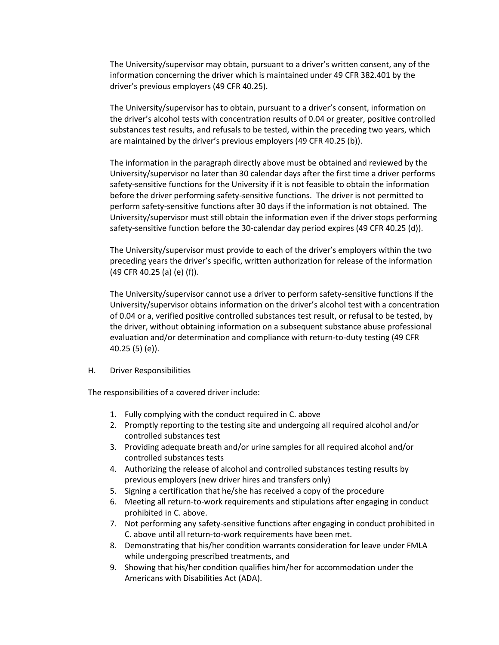The University/supervisor may obtain, pursuant to a driver's written consent, any of the information concerning the driver which is maintained under 49 CFR 382.401 by the driver's previous employers (49 CFR 40.25).

The University/supervisor has to obtain, pursuant to a driver's consent, information on the driver's alcohol tests with concentration results of 0.04 or greater, positive controlled substances test results, and refusals to be tested, within the preceding two years, which are maintained by the driver's previous employers (49 CFR 40.25 (b)).

The information in the paragraph directly above must be obtained and reviewed by the University/supervisor no later than 30 calendar days after the first time a driver performs safety-sensitive functions for the University if it is not feasible to obtain the information before the driver performing safety-sensitive functions. The driver is not permitted to perform safety-sensitive functions after 30 days if the information is not obtained. The University/supervisor must still obtain the information even if the driver stops performing safety-sensitive function before the 30-calendar day period expires (49 CFR 40.25 (d)).

The University/supervisor must provide to each of the driver's employers within the two preceding years the driver's specific, written authorization for release of the information (49 CFR 40.25 (a) (e) (f)).

The University/supervisor cannot use a driver to perform safety-sensitive functions if the University/supervisor obtains information on the driver's alcohol test with a concentration of 0.04 or a, verified positive controlled substances test result, or refusal to be tested, by the driver, without obtaining information on a subsequent substance abuse professional evaluation and/or determination and compliance with return-to-duty testing (49 CFR 40.25 (5) (e)).

H. Driver Responsibilities

The responsibilities of a covered driver include:

- 1. Fully complying with the conduct required in C. above
- 2. Promptly reporting to the testing site and undergoing all required alcohol and/or controlled substances test
- 3. Providing adequate breath and/or urine samples for all required alcohol and/or controlled substances tests
- 4. Authorizing the release of alcohol and controlled substances testing results by previous employers (new driver hires and transfers only)
- 5. Signing a certification that he/she has received a copy of the procedure
- 6. Meeting all return-to-work requirements and stipulations after engaging in conduct prohibited in C. above.
- 7. Not performing any safety-sensitive functions after engaging in conduct prohibited in C. above until all return-to-work requirements have been met.
- 8. Demonstrating that his/her condition warrants consideration for leave under FMLA while undergoing prescribed treatments, and
- 9. Showing that his/her condition qualifies him/her for accommodation under the Americans with Disabilities Act (ADA).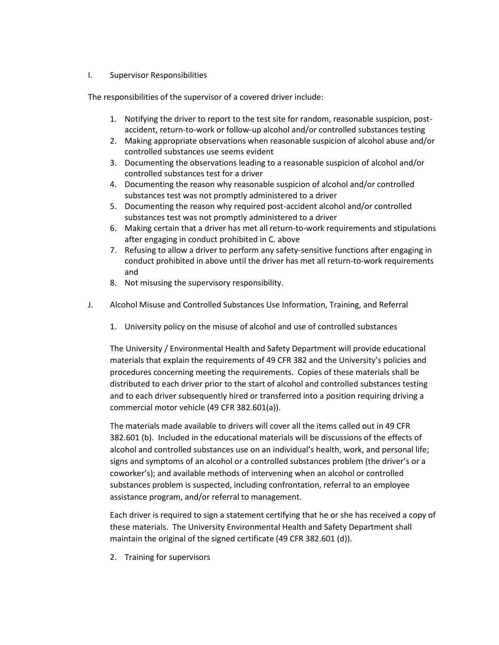#### I. Supervisor Responsibilities

The responsibilities of the supervisor of a covered driver include:

- 1. Notifying the driver to report to the test site for random, reasonable suspicion, postaccident, return-to-work or follow-up alcohol and/or controlled substances testing
- 2. Making appropriate observations when reasonable suspicion of alcohol abuse and/or controlled substances use seems evident
- 3. Documenting the observations leading to a reasonable suspicion of alcohol and/or controlled substances test for a driver
- 4. Documenting the reason why reasonable suspicion of alcohol and/or controlled substances test was not promptly administered to a driver
- 5. Documenting the reason why required post-accident alcohol and/or controlled substances test was not promptly administered to a driver
- 6. Making certain that a driver has met all return-to-work requirements and stipulations after engaging in conduct prohibited in C. above
- 7. Refusing to allow a driver to perform any safety-sensitive functions after engaging in conduct prohibited in above until the driver has met all return-to-work requirements and
- 8. Not misusing the supervisory responsibility.
- J. Alcohol Misuse and Controlled Substances Use Information, Training, and Referral
	- 1. University policy on the misuse of alcohol and use of controlled substances

The University / Environmental Health and Safety Department will provide educational materials that explain the requirements of 49 CFR 382 and the University's policies and procedures concerning meeting the requirements. Copies of these materials shall be distributed to each driver prior to the start of alcohol and controlled substances testing and to each driver subsequently hired or transferred into a position requiring driving a commercial motor vehicle (49 CFR 382.601(a)).

The materials made available to drivers will cover all the items called out in 49 CFR 382.601 (b). Included in the educational materials will be discussions of the effects of alcohol and controlled substances use on an individual's health, work, and personal life; signs and symptoms of an alcohol or a controlled substances problem (the driver's or a coworker's); and available methods of intervening when an alcohol or controlled substances problem is suspected, including confrontation, referral to an employee assistance program, and/or referral to management.

Each driver is required to sign a statement certifying that he or she has received a copy of these materials. The University Environmental Health and Safety Department shall maintain the original of the signed certificate (49 CFR 382.601 (d)).

2. Training for supervisors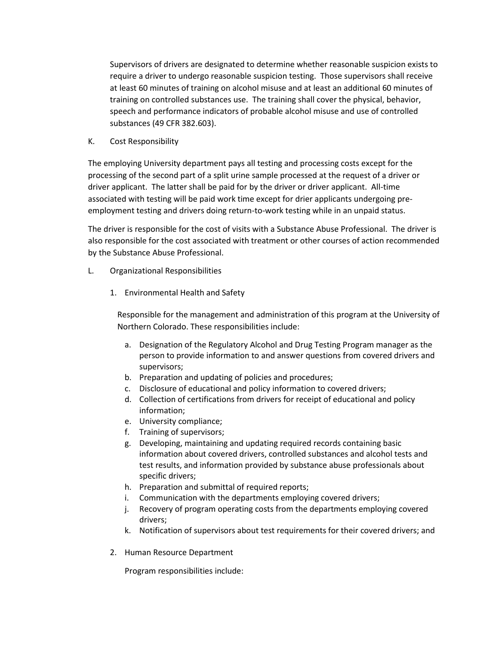Supervisors of drivers are designated to determine whether reasonable suspicion exists to require a driver to undergo reasonable suspicion testing. Those supervisors shall receive at least 60 minutes of training on alcohol misuse and at least an additional 60 minutes of training on controlled substances use. The training shall cover the physical, behavior, speech and performance indicators of probable alcohol misuse and use of controlled substances (49 CFR 382.603).

K. Cost Responsibility

The employing University department pays all testing and processing costs except for the processing of the second part of a split urine sample processed at the request of a driver or driver applicant. The latter shall be paid for by the driver or driver applicant. All-time associated with testing will be paid work time except for drier applicants undergoing preemployment testing and drivers doing return-to-work testing while in an unpaid status.

The driver is responsible for the cost of visits with a Substance Abuse Professional. The driver is also responsible for the cost associated with treatment or other courses of action recommended by the Substance Abuse Professional.

- L. Organizational Responsibilities
	- 1. Environmental Health and Safety

Responsible for the management and administration of this program at the University of Northern Colorado. These responsibilities include:

- a. Designation of the Regulatory Alcohol and Drug Testing Program manager as the person to provide information to and answer questions from covered drivers and supervisors;
- b. Preparation and updating of policies and procedures;
- c. Disclosure of educational and policy information to covered drivers;
- d. Collection of certifications from drivers for receipt of educational and policy information;
- e. University compliance;
- f. Training of supervisors;
- g. Developing, maintaining and updating required records containing basic information about covered drivers, controlled substances and alcohol tests and test results, and information provided by substance abuse professionals about specific drivers;
- h. Preparation and submittal of required reports;
- i. Communication with the departments employing covered drivers;
- j. Recovery of program operating costs from the departments employing covered drivers;
- k. Notification of supervisors about test requirements for their covered drivers; and
- 2. Human Resource Department

Program responsibilities include: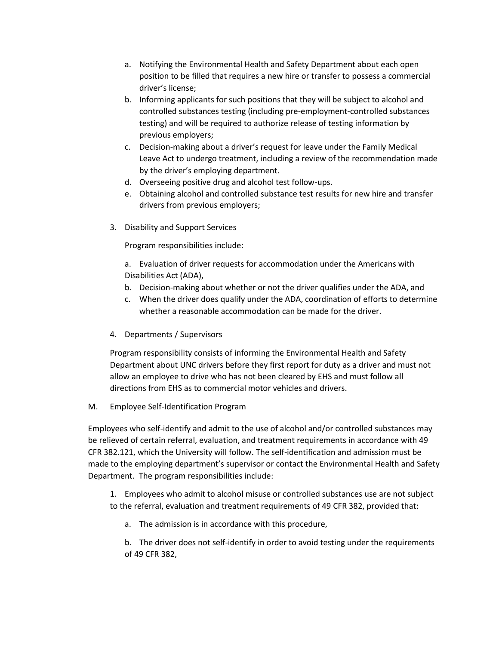- a. Notifying the Environmental Health and Safety Department about each open position to be filled that requires a new hire or transfer to possess a commercial driver's license;
- b. Informing applicants for such positions that they will be subject to alcohol and controlled substances testing (including pre-employment-controlled substances testing) and will be required to authorize release of testing information by previous employers;
- c. Decision-making about a driver's request for leave under the Family Medical Leave Act to undergo treatment, including a review of the recommendation made by the driver's employing department.
- d. Overseeing positive drug and alcohol test follow-ups.
- e. Obtaining alcohol and controlled substance test results for new hire and transfer drivers from previous employers;
- 3. Disability and Support Services

Program responsibilities include:

a. Evaluation of driver requests for accommodation under the Americans with Disabilities Act (ADA),

- b. Decision-making about whether or not the driver qualifies under the ADA, and
- c. When the driver does qualify under the ADA, coordination of efforts to determine whether a reasonable accommodation can be made for the driver.
- 4. Departments / Supervisors

Program responsibility consists of informing the Environmental Health and Safety Department about UNC drivers before they first report for duty as a driver and must not allow an employee to drive who has not been cleared by EHS and must follow all directions from EHS as to commercial motor vehicles and drivers.

M. Employee Self-Identification Program

Employees who self-identify and admit to the use of alcohol and/or controlled substances may be relieved of certain referral, evaluation, and treatment requirements in accordance with 49 CFR 382.121, which the University will follow. The self-identification and admission must be made to the employing department's supervisor or contact the Environmental Health and Safety Department. The program responsibilities include:

1. Employees who admit to alcohol misuse or controlled substances use are not subject to the referral, evaluation and treatment requirements of 49 CFR 382, provided that:

a. The admission is in accordance with this procedure,

b. The driver does not self-identify in order to avoid testing under the requirements of 49 CFR 382,